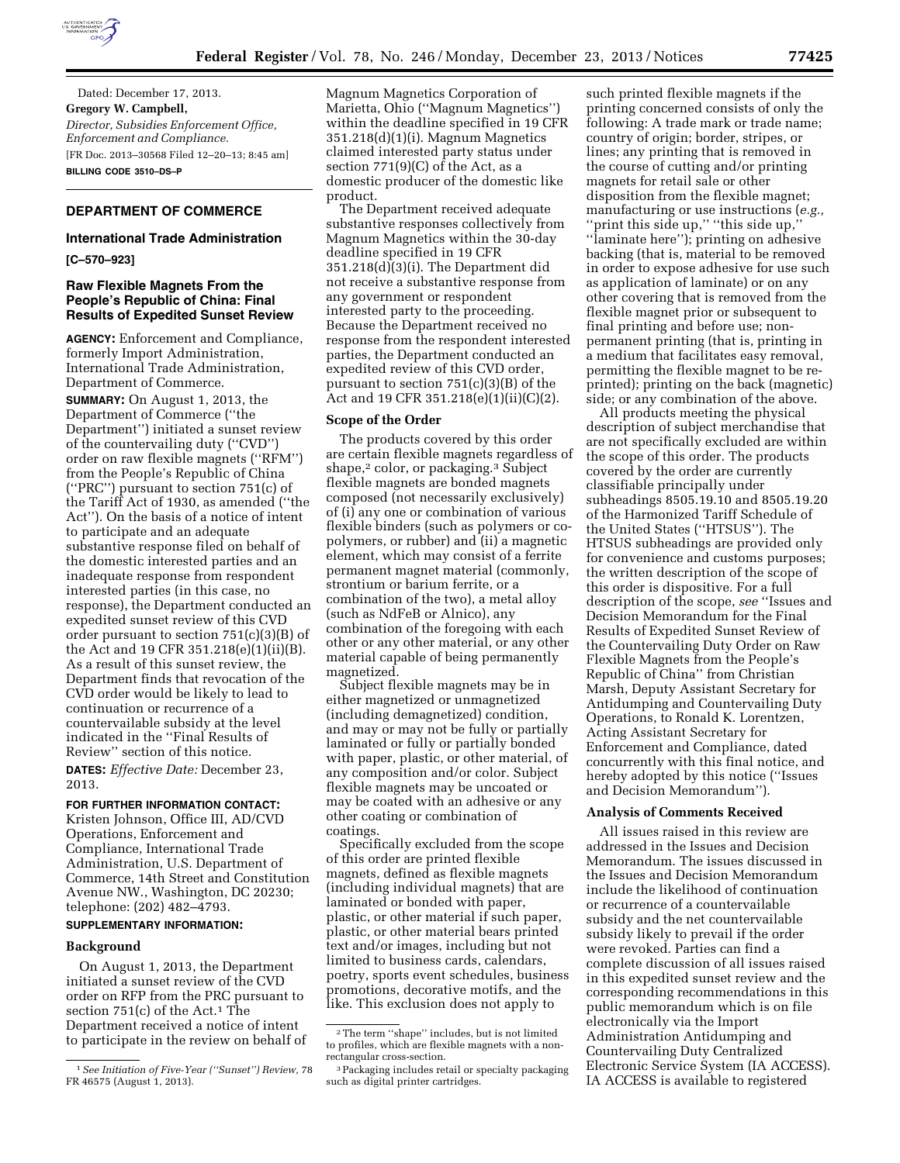

Dated: December 17, 2013. **Gregory W. Campbell,**  *Director, Subsidies Enforcement Office, Enforcement and Compliance.*  [FR Doc. 2013–30568 Filed 12–20–13; 8:45 am] **BILLING CODE 3510–DS–P** 

# **DEPARTMENT OF COMMERCE**

#### **International Trade Administration**

**[C–570–923]** 

#### **Raw Flexible Magnets From the People's Republic of China: Final Results of Expedited Sunset Review**

**AGENCY:** Enforcement and Compliance, formerly Import Administration, International Trade Administration, Department of Commerce.

**SUMMARY:** On August 1, 2013, the Department of Commerce (''the Department'') initiated a sunset review of the countervailing duty (''CVD'') order on raw flexible magnets (''RFM'') from the People's Republic of China (''PRC'') pursuant to section 751(c) of the Tariff Act of 1930, as amended (''the Act''). On the basis of a notice of intent to participate and an adequate substantive response filed on behalf of the domestic interested parties and an inadequate response from respondent interested parties (in this case, no response), the Department conducted an expedited sunset review of this CVD order pursuant to section 751(c)(3)(B) of the Act and 19 CFR 351.218(e)(1)(ii)(B). As a result of this sunset review, the Department finds that revocation of the CVD order would be likely to lead to continuation or recurrence of a countervailable subsidy at the level indicated in the ''Final Results of Review'' section of this notice.

**DATES:** *Effective Date:* December 23, 2013.

# **FOR FURTHER INFORMATION CONTACT:**

Kristen Johnson, Office III, AD/CVD Operations, Enforcement and Compliance, International Trade Administration, U.S. Department of Commerce, 14th Street and Constitution Avenue NW., Washington, DC 20230; telephone: (202) 482–4793.

#### **SUPPLEMENTARY INFORMATION:**

#### **Background**

On August 1, 2013, the Department initiated a sunset review of the CVD order on RFP from the PRC pursuant to section  $751(c)$  of the Act.<sup>1</sup> The Department received a notice of intent to participate in the review on behalf of Magnum Magnetics Corporation of Marietta, Ohio (''Magnum Magnetics'') within the deadline specified in 19 CFR 351.218(d)(1)(i). Magnum Magnetics claimed interested party status under section 771(9)(C) of the Act, as a domestic producer of the domestic like product.

The Department received adequate substantive responses collectively from Magnum Magnetics within the 30-day deadline specified in 19 CFR 351.218(d)(3)(i). The Department did not receive a substantive response from any government or respondent interested party to the proceeding. Because the Department received no response from the respondent interested parties, the Department conducted an expedited review of this CVD order, pursuant to section 751(c)(3)(B) of the Act and 19 CFR 351.218(e)(1)(ii)(C)(2).

#### **Scope of the Order**

The products covered by this order are certain flexible magnets regardless of shape,<sup>2</sup> color, or packaging.<sup>3</sup> Subject flexible magnets are bonded magnets composed (not necessarily exclusively) of (i) any one or combination of various flexible binders (such as polymers or copolymers, or rubber) and (ii) a magnetic element, which may consist of a ferrite permanent magnet material (commonly, strontium or barium ferrite, or a combination of the two), a metal alloy (such as NdFeB or Alnico), any combination of the foregoing with each other or any other material, or any other material capable of being permanently magnetized.

Subject flexible magnets may be in either magnetized or unmagnetized (including demagnetized) condition, and may or may not be fully or partially laminated or fully or partially bonded with paper, plastic, or other material, of any composition and/or color. Subject flexible magnets may be uncoated or may be coated with an adhesive or any other coating or combination of coatings.

Specifically excluded from the scope of this order are printed flexible magnets, defined as flexible magnets (including individual magnets) that are laminated or bonded with paper, plastic, or other material if such paper, plastic, or other material bears printed text and/or images, including but not limited to business cards, calendars, poetry, sports event schedules, business promotions, decorative motifs, and the like. This exclusion does not apply to

such printed flexible magnets if the printing concerned consists of only the following: A trade mark or trade name; country of origin; border, stripes, or lines; any printing that is removed in the course of cutting and/or printing magnets for retail sale or other disposition from the flexible magnet; manufacturing or use instructions (*e.g.,*  ''print this side up,'' ''this side up,'' ''laminate here''); printing on adhesive backing (that is, material to be removed in order to expose adhesive for use such as application of laminate) or on any other covering that is removed from the flexible magnet prior or subsequent to final printing and before use; nonpermanent printing (that is, printing in a medium that facilitates easy removal, permitting the flexible magnet to be reprinted); printing on the back (magnetic) side; or any combination of the above.

All products meeting the physical description of subject merchandise that are not specifically excluded are within the scope of this order. The products covered by the order are currently classifiable principally under subheadings 8505.19.10 and 8505.19.20 of the Harmonized Tariff Schedule of the United States (''HTSUS''). The HTSUS subheadings are provided only for convenience and customs purposes; the written description of the scope of this order is dispositive. For a full description of the scope, *see* ''Issues and Decision Memorandum for the Final Results of Expedited Sunset Review of the Countervailing Duty Order on Raw Flexible Magnets from the People's Republic of China'' from Christian Marsh, Deputy Assistant Secretary for Antidumping and Countervailing Duty Operations, to Ronald K. Lorentzen, Acting Assistant Secretary for Enforcement and Compliance, dated concurrently with this final notice, and hereby adopted by this notice (''Issues and Decision Memorandum'').

#### **Analysis of Comments Received**

All issues raised in this review are addressed in the Issues and Decision Memorandum. The issues discussed in the Issues and Decision Memorandum include the likelihood of continuation or recurrence of a countervailable subsidy and the net countervailable subsidy likely to prevail if the order were revoked. Parties can find a complete discussion of all issues raised in this expedited sunset review and the corresponding recommendations in this public memorandum which is on file electronically via the Import Administration Antidumping and Countervailing Duty Centralized Electronic Service System (IA ACCESS). IA ACCESS is available to registered

<sup>1</sup>*See Initiation of Five-Year (''Sunset'') Review,* 78 FR 46575 (August 1, 2013).

 $\sqrt[2]{2}$  The term ''shape'' includes, but is not limited to profiles, which are flexible magnets with a nonrectangular cross-section.

<sup>3</sup>Packaging includes retail or specialty packaging such as digital printer cartridges.